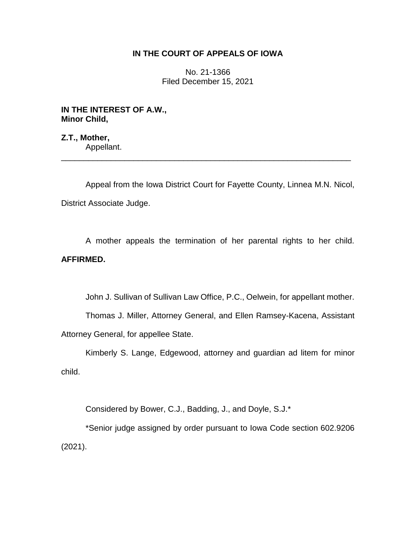## **IN THE COURT OF APPEALS OF IOWA**

No. 21-1366 Filed December 15, 2021

**IN THE INTEREST OF A.W., Minor Child,**

**Z.T., Mother,** Appellant. \_\_\_\_\_\_\_\_\_\_\_\_\_\_\_\_\_\_\_\_\_\_\_\_\_\_\_\_\_\_\_\_\_\_\_\_\_\_\_\_\_\_\_\_\_\_\_\_\_\_\_\_\_\_\_\_\_\_\_\_\_\_\_\_

Appeal from the Iowa District Court for Fayette County, Linnea M.N. Nicol, District Associate Judge.

A mother appeals the termination of her parental rights to her child. **AFFIRMED.**

John J. Sullivan of Sullivan Law Office, P.C., Oelwein, for appellant mother.

Thomas J. Miller, Attorney General, and Ellen Ramsey-Kacena, Assistant Attorney General, for appellee State.

Kimberly S. Lange, Edgewood, attorney and guardian ad litem for minor child.

Considered by Bower, C.J., Badding, J., and Doyle, S.J.\*

\*Senior judge assigned by order pursuant to Iowa Code section 602.9206 (2021).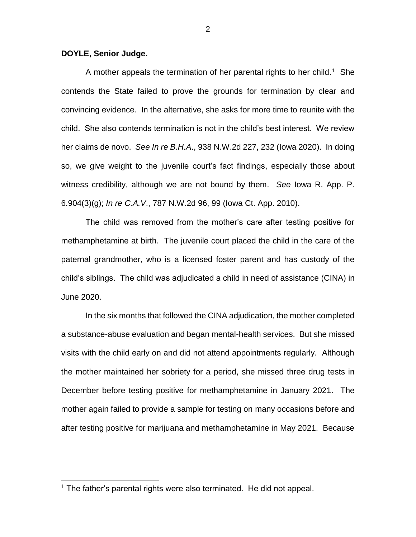## **DOYLE, Senior Judge.**

A mother appeals the termination of her parental rights to her child.<sup>1</sup> She contends the State failed to prove the grounds for termination by clear and convincing evidence. In the alternative, she asks for more time to reunite with the child. She also contends termination is not in the child's best interest. We review her claims de novo. *See In re B.H.A*., 938 N.W.2d 227, 232 (Iowa 2020). In doing so, we give weight to the juvenile court's fact findings, especially those about witness credibility, although we are not bound by them. *See* Iowa R. App. P. 6.904(3)(g); *In re C.A.V*., 787 N.W.2d 96, 99 (Iowa Ct. App. 2010).

The child was removed from the mother's care after testing positive for methamphetamine at birth. The juvenile court placed the child in the care of the paternal grandmother, who is a licensed foster parent and has custody of the child's siblings. The child was adjudicated a child in need of assistance (CINA) in June 2020.

In the six months that followed the CINA adjudication, the mother completed a substance-abuse evaluation and began mental-health services. But she missed visits with the child early on and did not attend appointments regularly. Although the mother maintained her sobriety for a period, she missed three drug tests in December before testing positive for methamphetamine in January 2021. The mother again failed to provide a sample for testing on many occasions before and after testing positive for marijuana and methamphetamine in May 2021. Because

 $\overline{a}$ 

<sup>&</sup>lt;sup>1</sup> The father's parental rights were also terminated. He did not appeal.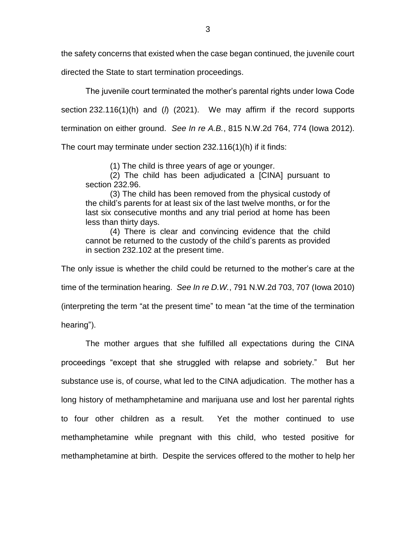the safety concerns that existed when the case began continued, the juvenile court

directed the State to start termination proceedings.

The juvenile court terminated the mother's parental rights under Iowa Code section 232.116(1)(h) and (*l*) (2021). We may affirm if the record supports termination on either ground. *See In re A.B.*, 815 N.W.2d 764, 774 (Iowa 2012).

The court may terminate under section 232.116(1)(h) if it finds:

(1) The child is three years of age or younger.

(2) The child has been adjudicated a [CINA] pursuant to section 232.96.

(3) The child has been removed from the physical custody of the child's parents for at least six of the last twelve months, or for the last six consecutive months and any trial period at home has been less than thirty days.

(4) There is clear and convincing evidence that the child cannot be returned to the custody of the child's parents as provided in section 232.102 at the present time.

The only issue is whether the child could be returned to the mother's care at the

time of the termination hearing. *See In re D.W.*, 791 N.W.2d 703, 707 (Iowa 2010)

(interpreting the term "at the present time" to mean "at the time of the termination

hearing").

The mother argues that she fulfilled all expectations during the CINA proceedings "except that she struggled with relapse and sobriety." But her substance use is, of course, what led to the CINA adjudication. The mother has a long history of methamphetamine and marijuana use and lost her parental rights to four other children as a result. Yet the mother continued to use methamphetamine while pregnant with this child, who tested positive for methamphetamine at birth. Despite the services offered to the mother to help her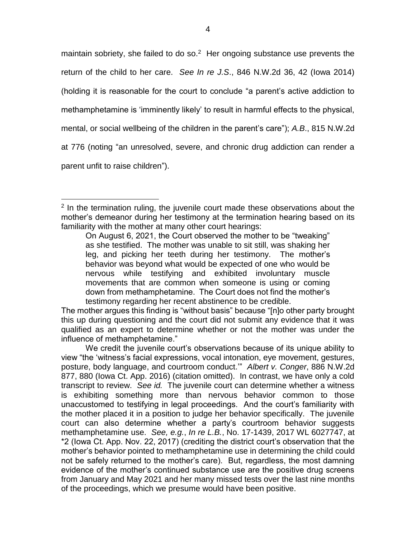maintain sobriety, she failed to do so. $2$  Her ongoing substance use prevents the return of the child to her care. *See In re J.S*., 846 N.W.2d 36, 42 (Iowa 2014) (holding it is reasonable for the court to conclude "a parent's active addiction to methamphetamine is 'imminently likely' to result in harmful effects to the physical, mental, or social wellbeing of the children in the parent's care"); *A.B*., 815 N.W.2d at 776 (noting "an unresolved, severe, and chronic drug addiction can render a parent unfit to raise children").

 $\overline{a}$ 

On August 6, 2021, the Court observed the mother to be "tweaking" as she testified. The mother was unable to sit still, was shaking her leg, and picking her teeth during her testimony. The mother's behavior was beyond what would be expected of one who would be nervous while testifying and exhibited involuntary muscle movements that are common when someone is using or coming down from methamphetamine. The Court does not find the mother's testimony regarding her recent abstinence to be credible.

The mother argues this finding is "without basis" because "[n]o other party brought this up during questioning and the court did not submit any evidence that it was qualified as an expert to determine whether or not the mother was under the influence of methamphetamine."

We credit the juvenile court's observations because of its unique ability to view "the 'witness's facial expressions, vocal intonation, eye movement, gestures, posture, body language, and courtroom conduct.'" *Albert v. Conger*, 886 N.W.2d 877, 880 (Iowa Ct. App. 2016) (citation omitted). In contrast, we have only a cold transcript to review. *See id.* The juvenile court can determine whether a witness is exhibiting something more than nervous behavior common to those unaccustomed to testifying in legal proceedings. And the court's familiarity with the mother placed it in a position to judge her behavior specifically. The juvenile court can also determine whether a party's courtroom behavior suggests methamphetamine use. *See, e.g.*, *In re L.B.*, No. 17-1439, 2017 WL 6027747, at \*2 (Iowa Ct. App. Nov. 22, 2017) (crediting the district court's observation that the mother's behavior pointed to methamphetamine use in determining the child could not be safely returned to the mother's care). But, regardless, the most damning evidence of the mother's continued substance use are the positive drug screens from January and May 2021 and her many missed tests over the last nine months of the proceedings, which we presume would have been positive.

<sup>&</sup>lt;sup>2</sup> In the termination ruling, the juvenile court made these observations about the mother's demeanor during her testimony at the termination hearing based on its familiarity with the mother at many other court hearings: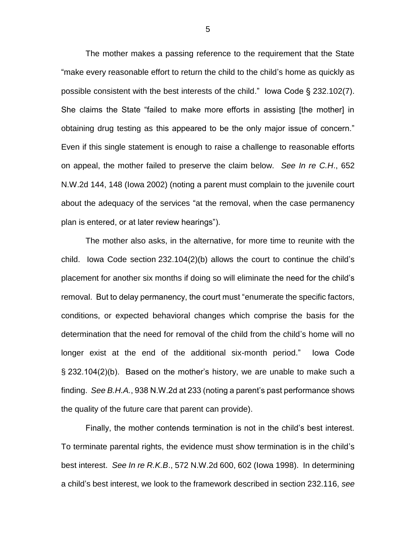The mother makes a passing reference to the requirement that the State "make every reasonable effort to return the child to the child's home as quickly as possible consistent with the best interests of the child." Iowa Code § 232.102(7). She claims the State "failed to make more efforts in assisting [the mother] in obtaining drug testing as this appeared to be the only major issue of concern." Even if this single statement is enough to raise a challenge to reasonable efforts on appeal, the mother failed to preserve the claim below. *See In re C.H*., 652 N.W.2d 144, 148 (Iowa 2002) (noting a parent must complain to the juvenile court about the adequacy of the services "at the removal, when the case permanency plan is entered, or at later review hearings").

The mother also asks, in the alternative, for more time to reunite with the child. Iowa Code section 232.104(2)(b) allows the court to continue the child's placement for another six months if doing so will eliminate the need for the child's removal. But to delay permanency, the court must "enumerate the specific factors, conditions, or expected behavioral changes which comprise the basis for the determination that the need for removal of the child from the child's home will no longer exist at the end of the additional six-month period." Iowa Code § 232.104(2)(b). Based on the mother's history, we are unable to make such a finding. *See B.H.A.*, 938 N.W.2d at 233 (noting a parent's past performance shows the quality of the future care that parent can provide).

Finally, the mother contends termination is not in the child's best interest. To terminate parental rights, the evidence must show termination is in the child's best interest. *See In re R.K.B*., 572 N.W.2d 600, 602 (Iowa 1998). In determining a child's best interest, we look to the framework described in section 232.116, *see*